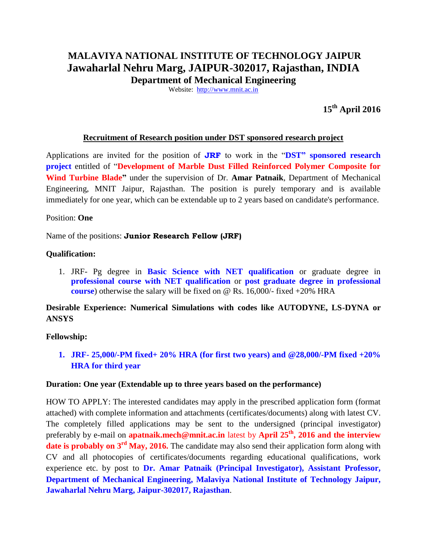# **MALAVIYA NATIONAL INSTITUTE OF TECHNOLOGY JAIPUR Jawaharlal Nehru Marg, JAIPUR-302017, Rajasthan, INDIA**

**Department of Mechanical Engineering**

Website: [http://www.mnit.ac.in](http://www.mnit.ac.in/)

**15th April 2016**

#### **Recruitment of Research position under DST sponsored research project**

Applications are invited for the position of **JRF** to work in the "**DST" sponsored research project** entitled of "**Development of Marble Dust Filled Reinforced Polymer Composite for Wind Turbine Blade"** under the supervision of Dr. **Amar Patnaik**, Department of Mechanical Engineering, MNIT Jaipur, Rajasthan. The position is purely temporary and is available immediately for one year, which can be extendable up to 2 years based on candidate's performance.

#### Position: **One**

Name of the positions: **Junior Research Fellow (JRF)**

#### **Qualification:**

1. JRF- Pg degree in **Basic Science with NET qualification** or graduate degree in **professional course with NET qualification** or **post graduate degree in professional course**) otherwise the salary will be fixed on @ Rs. 16,000/- fixed +20% HRA

## **Desirable Experience: Numerical Simulations with codes like AUTODYNE, LS-DYNA or ANSYS**

### **Fellowship:**

**1. JRF- 25,000/-PM fixed+ 20% HRA (for first two years) and @28,000/-PM fixed +20% HRA for third year** 

#### **Duration: One year (Extendable up to three years based on the performance)**

HOW TO APPLY: The interested candidates may apply in the prescribed application form (format attached) with complete information and attachments (certificates/documents) along with latest CV. The completely filled applications may be sent to the undersigned (principal investigator) preferably by e-mail on **[apatnaik.mech@mnit.ac.in](mailto:apatnaik.mech@mnit.ac.in)** latest by **April 25 th, 2016 and the interview date is probably on 3<sup>rd</sup> May, 2016.** The candidate may also send their application form along with CV and all photocopies of certificates/documents regarding educational qualifications, work experience etc. by post to **Dr. Amar Patnaik (Principal Investigator), Assistant Professor, Department of Mechanical Engineering, Malaviya National Institute of Technology Jaipur, Jawaharlal Nehru Marg, Jaipur-302017, Rajasthan**.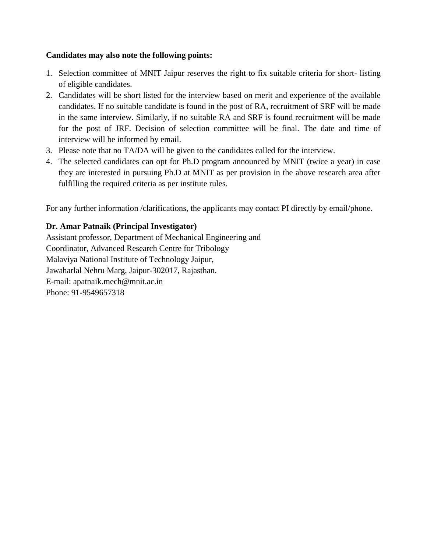# **Candidates may also note the following points:**

- 1. Selection committee of MNIT Jaipur reserves the right to fix suitable criteria for short- listing of eligible candidates.
- 2. Candidates will be short listed for the interview based on merit and experience of the available candidates. If no suitable candidate is found in the post of RA, recruitment of SRF will be made in the same interview. Similarly, if no suitable RA and SRF is found recruitment will be made for the post of JRF. Decision of selection committee will be final. The date and time of interview will be informed by email.
- 3. Please note that no TA/DA will be given to the candidates called for the interview.
- 4. The selected candidates can opt for Ph.D program announced by MNIT (twice a year) in case they are interested in pursuing Ph.D at MNIT as per provision in the above research area after fulfilling the required criteria as per institute rules.

For any further information /clarifications, the applicants may contact PI directly by email/phone.

# **Dr. Amar Patnaik (Principal Investigator)**

Assistant professor, Department of Mechanical Engineering and Coordinator, Advanced Research Centre for Tribology Malaviya National Institute of Technology Jaipur, Jawaharlal Nehru Marg, Jaipur-302017, Rajasthan. E-mail: [apatnaik.mech@mnit.ac.in](mailto:apatnaik.mech@mnit.ac.in) Phone: 91-9549657318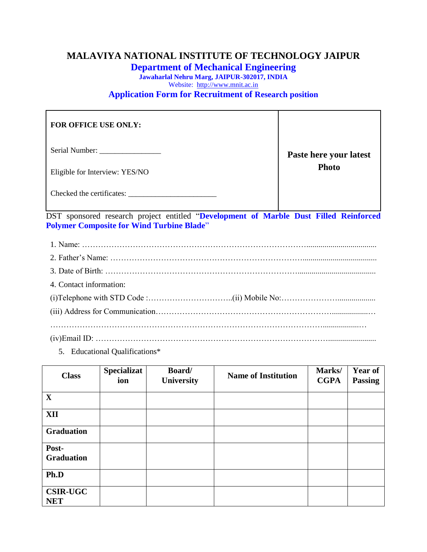# **MALAVIYA NATIONAL INSTITUTE OF TECHNOLOGY JAIPUR**

**Department of Mechanical Engineering**

**Jawaharlal Nehru Marg, JAIPUR-302017, INDIA** Website: [http://www.mnit.ac.in](http://www.mnit.ac.in/) **Application Form for Recruitment of Research position**

| <b>FOR OFFICE USE ONLY:</b>    |                        |
|--------------------------------|------------------------|
| Serial Number:                 | Paste here your latest |
| Eligible for Interview: YES/NO | <b>Photo</b>           |
| Checked the certificates:      |                        |

DST sponsored research project entitled "**Development of Marble Dust Filled Reinforced Polymer Composite for Wind Turbine Blade**"

| 4. Contact information: |
|-------------------------|
|                         |
|                         |
|                         |
|                         |

5. Educational Qualifications\*

| <b>Class</b>                  | <b>Specializat</b><br>ion | Board/<br><b>University</b> | <b>Name of Institution</b> | Marks/<br><b>CGPA</b> | <b>Year of</b><br><b>Passing</b> |
|-------------------------------|---------------------------|-----------------------------|----------------------------|-----------------------|----------------------------------|
| $\mathbf X$                   |                           |                             |                            |                       |                                  |
| <b>XII</b>                    |                           |                             |                            |                       |                                  |
| <b>Graduation</b>             |                           |                             |                            |                       |                                  |
| Post-<br><b>Graduation</b>    |                           |                             |                            |                       |                                  |
| Ph.D                          |                           |                             |                            |                       |                                  |
| <b>CSIR-UGC</b><br><b>NET</b> |                           |                             |                            |                       |                                  |